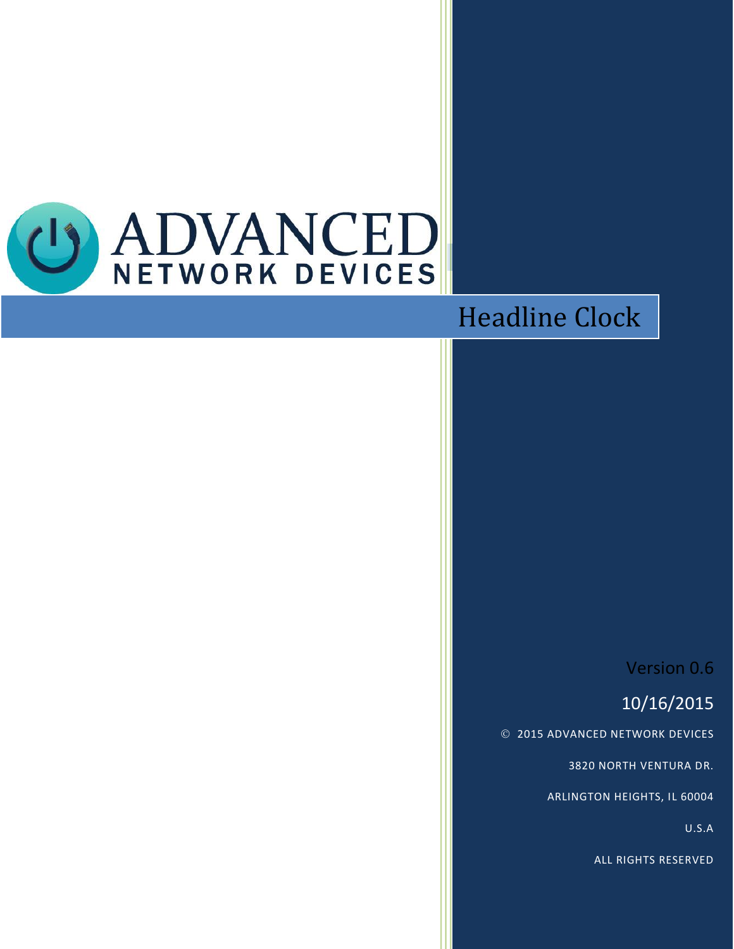

# Headline Clock

### Version 0.6

## 10/16/2015

2015 ADVANCED NETWORK DEVICES

3820 NORTH VENTURA DR.

ARLINGTON HEIGHTS, IL 60004

U.S.A

ALL RIGHTS RESERVED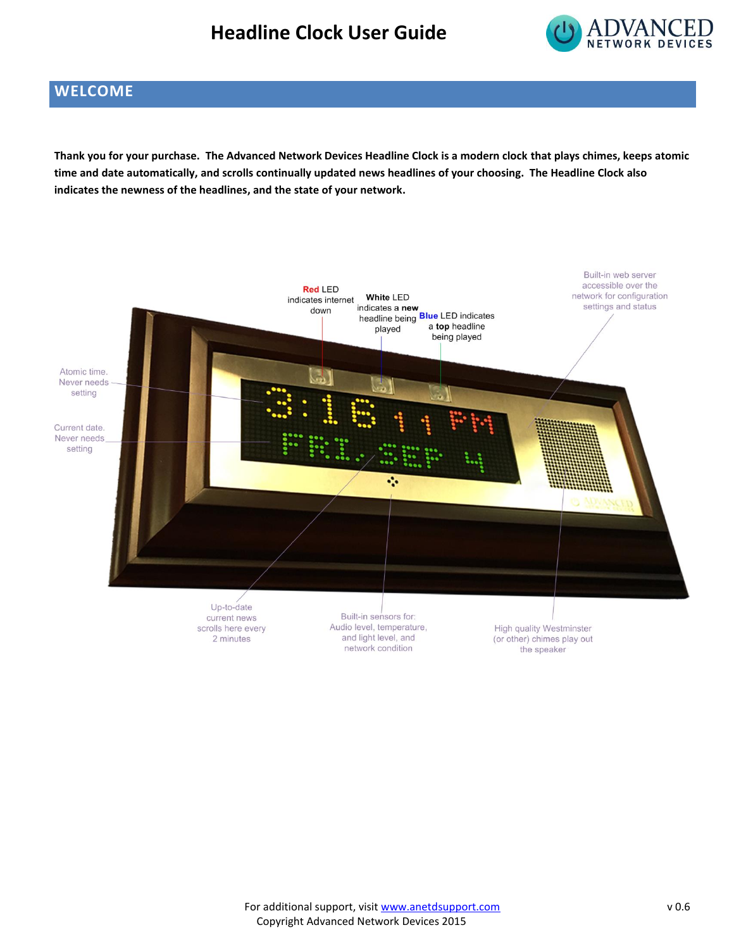#### **Headline Clock User Guide**



#### **WELCOME**

**Thank you for your purchase. The Advanced Network Devices Headline Clock is a modern clock that plays chimes, keeps atomic time and date automatically, and scrolls continually updated news headlines of your choosing. The Headline Clock also indicates the newness of the headlines, and the state of your network.**

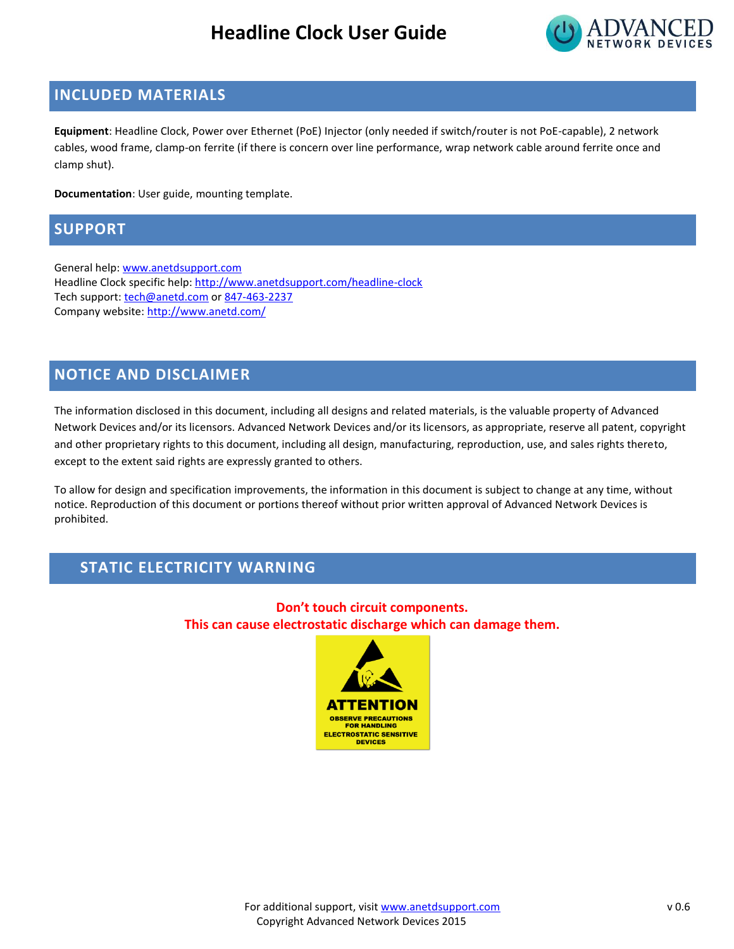#### **Headline Clock User Guide**



#### **INCLUDED MATERIALS**

**Equipment**: Headline Clock, Power over Ethernet (PoE) Injector (only needed if switch/router is not PoE-capable), 2 network cables, wood frame, clamp-on ferrite (if there is concern over line performance, wrap network cable around ferrite once and clamp shut).

**Documentation**: User guide, mounting template.

#### **SUPPORT**

General help[: www.anetdsupport.com](http://www.anetdsupport.com/) Headline Clock specific help:<http://www.anetdsupport.com/headline-clock> Tech support[: tech@anetd.com](mailto:tech@anetd.com) or 847-463-2237 Company website:<http://www.anetd.com/>

#### **NOTICE AND DISCLAIMER**

The information disclosed in this document, including all designs and related materials, is the valuable property of Advanced Network Devices and/or its licensors. Advanced Network Devices and/or its licensors, as appropriate, reserve all patent, copyright and other proprietary rights to this document, including all design, manufacturing, reproduction, use, and sales rights thereto, except to the extent said rights are expressly granted to others.

To allow for design and specification improvements, the information in this document is subject to change at any time, without notice. Reproduction of this document or portions thereof without prior written approval of Advanced Network Devices is prohibited.

#### **STATIC ELECTRICITY WARNING**

**Don't touch circuit components. This can cause electrostatic discharge which can damage them.**

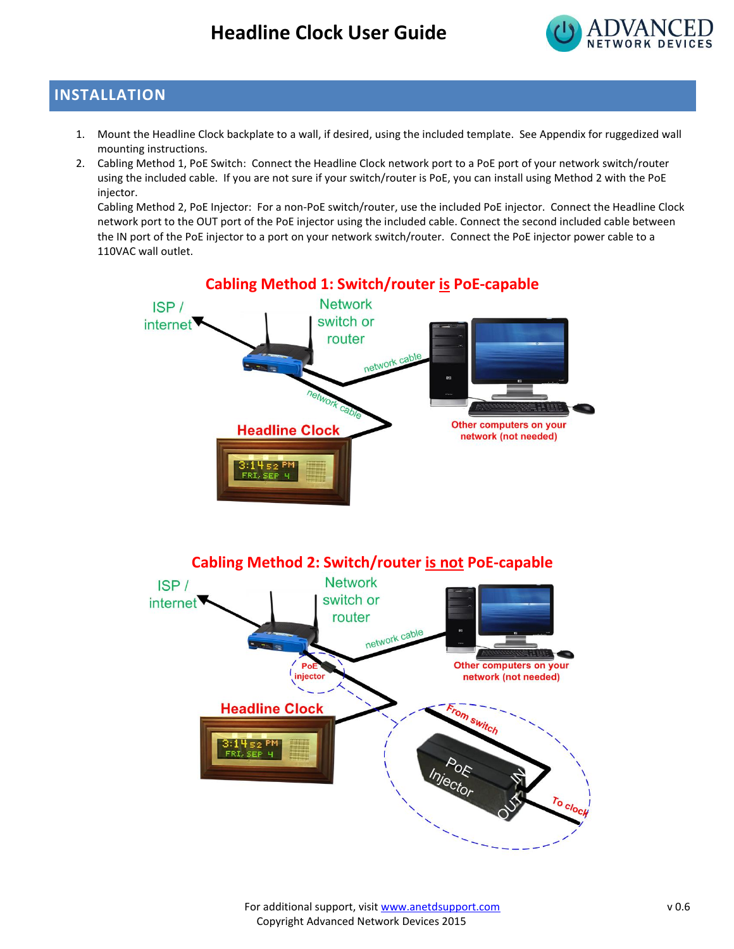

#### **INSTALLATION**

- 1. Mount the Headline Clock backplate to a wall, if desired, using the included template. See Appendix for ruggedized wall mounting instructions.
- 2. Cabling Method 1, PoE Switch: Connect the Headline Clock network port to a PoE port of your network switch/router using the included cable. If you are not sure if your switch/router is PoE, you can install using Method 2 with the PoE injector.

Cabling Method 2, PoE Injector: For a non-PoE switch/router, use the included PoE injector. Connect the Headline Clock network port to the OUT port of the PoE injector using the included cable. Connect the second included cable between the IN port of the PoE injector to a port on your network switch/router. Connect the PoE injector power cable to a 110VAC wall outlet.

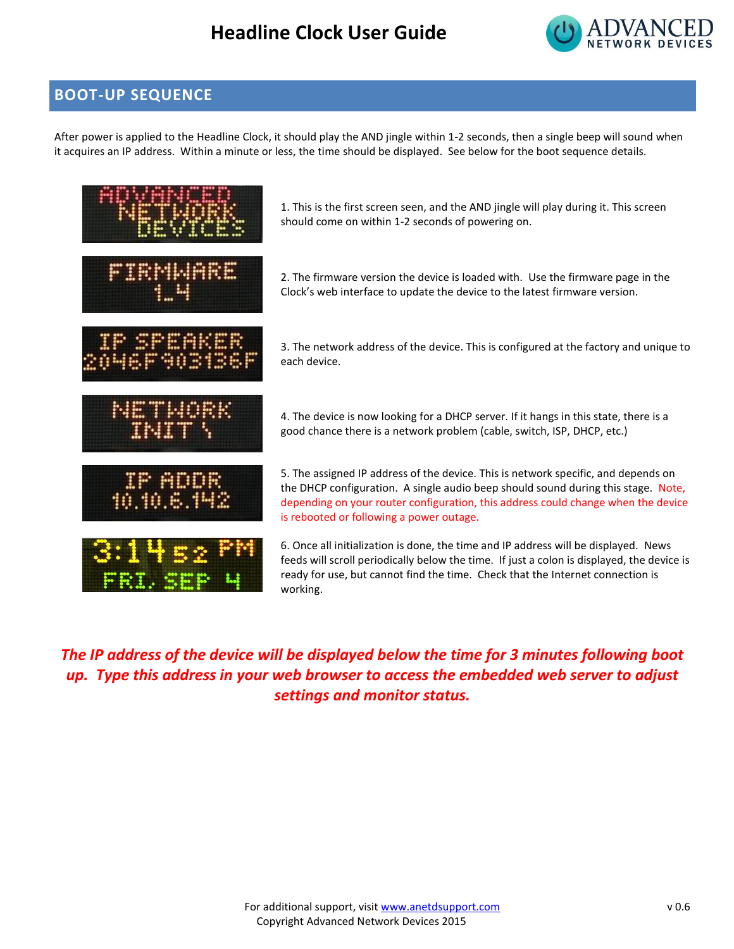#### **Headline Clock User Guide**



#### **BOOT-UP SEQUENCE**

After power is applied to the Headline Clock, it should play the AND jingle within 1-2 seconds, then a single beep will sound when it acquires an IP address. Within a minute or less, the time should be displayed. See below for the boot sequence details.



*The IP address of the device will be displayed below the time for 3 minutes following boot up. Type this address in your web browser to access the embedded web server to adjust settings and monitor status.*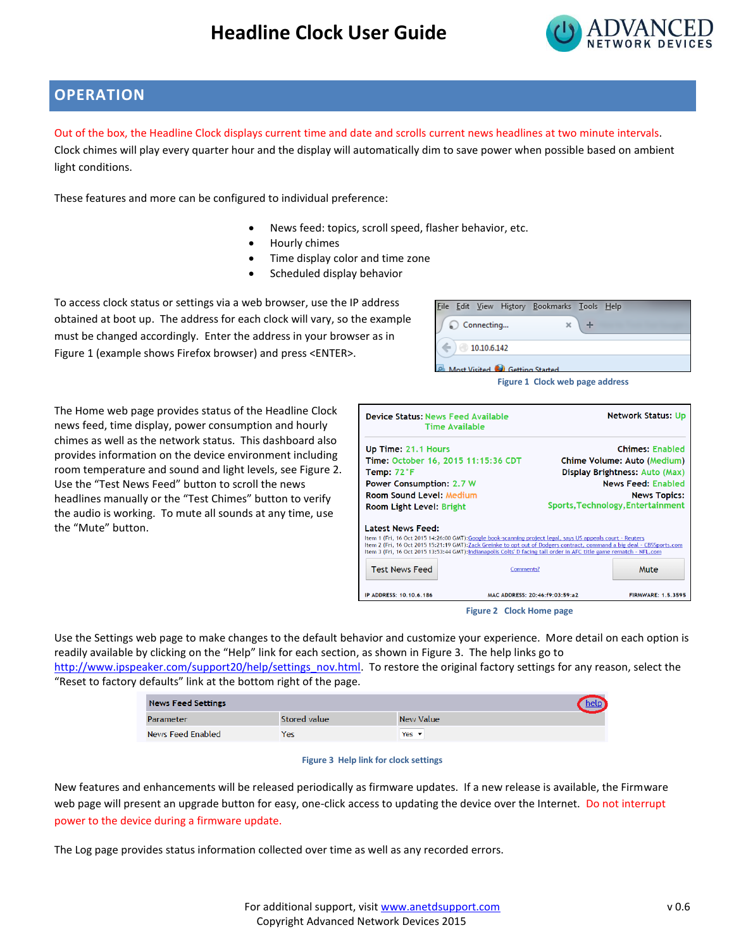

#### **OPERATION**

Out of the box, the Headline Clock displays current time and date and scrolls current news headlines at two minute intervals.

Clock chimes will play every quarter hour and the display will automatically dim to save power when possible based on ambient light conditions.

These features and more can be configured to individual preference:

- News feed: topics, scroll speed, flasher behavior, etc.
- Hourly chimes
- Time display color and time zone
- Scheduled display behavior

To access clock status or settings via a web browser, use the IP address obtained at boot up. The address for each clock will vary, so the example must be changed accordingly. Enter the address in your browser as in [Figure 1](#page-5-0) (example shows Firefox browser) and press <ENTER>.

| Edit View History Bookmarks Tools Help<br>File |                                 |  |
|------------------------------------------------|---------------------------------|--|
| Connecting                                     | ×                               |  |
| 10.10.6.142                                    |                                 |  |
| Anst Visited <b>Call Getting Started</b>       |                                 |  |
|                                                | Figure 1 Clock web page address |  |

The Home web page provides status of the Headline Clock news feed, time display, power consumption and hourly chimes as well as the network status. This dashboard also provides information on the device environment including room temperature and sound and light levels, see [Figure 2.](#page-5-1) Use the "Test News Feed" button to scroll the news headlines manually or the "Test Chimes" button to verify the audio is working. To mute all sounds at any time, use the "Mute" button.

<span id="page-5-0"></span>

| <b>Device Status: News Feed Available</b>                                                                                                                                                                                                                                                                                                                                                                                              | <b>Time Available</b>               |  | <b>Network Status: Up</b>         |  |  |
|----------------------------------------------------------------------------------------------------------------------------------------------------------------------------------------------------------------------------------------------------------------------------------------------------------------------------------------------------------------------------------------------------------------------------------------|-------------------------------------|--|-----------------------------------|--|--|
| Up Time: 21.1 Hours                                                                                                                                                                                                                                                                                                                                                                                                                    |                                     |  | <b>Chimes: Enabled</b>            |  |  |
|                                                                                                                                                                                                                                                                                                                                                                                                                                        | Time: October 16, 2015 11:15:36 CDT |  | Chime Volume: Auto (Medium)       |  |  |
| Temp: 72°F                                                                                                                                                                                                                                                                                                                                                                                                                             |                                     |  | Display Brightness: Auto (Max)    |  |  |
| <b>Power Consumption: 2.7 W</b>                                                                                                                                                                                                                                                                                                                                                                                                        |                                     |  | <b>News Feed: Enabled</b>         |  |  |
| <b>Room Sound Level: Medium</b>                                                                                                                                                                                                                                                                                                                                                                                                        |                                     |  | <b>News Topics:</b>               |  |  |
| Room Light Level: Bright                                                                                                                                                                                                                                                                                                                                                                                                               |                                     |  | Sports, Technology, Entertainment |  |  |
| <b>Latest News Feed:</b><br>Item 1 (Fri, 16 Oct 2015 14:26:00 GMT): Google book-scanning project legal, says US appeals court - Reuters<br>Item 2 (Fri, 16 Oct 2015 15:21:19 GMT):Zack Greinke to opt out of Dodgers contract, command a big deal - CBSSports.com<br>Item 3 (Fri, 16 Oct 2015 13:53:44 GMT): Indianapolis Colts' D facing tall order in AFC title game rematch - NFL.com<br><b>Test News Feed</b><br>Comments?<br>Mute |                                     |  |                                   |  |  |
| IP ADDRESS: 10.10.6.186                                                                                                                                                                                                                                                                                                                                                                                                                | MAC ADDRESS: 20:46:f9:03:59:a2      |  | <b>FIRMWARE: 1.5.3595</b>         |  |  |
|                                                                                                                                                                                                                                                                                                                                                                                                                                        |                                     |  |                                   |  |  |

<span id="page-5-1"></span>**Figure 2 Clock Home page**

Use the Settings web page to make changes to the default behavior and customize your experience. More detail on each option is readily available by clicking on the "Help" link for each section, as shown in [Figure 3.](#page-5-2) The help links go to

[http://www.ipspeaker.com/support20/help/settings\\_nov.html.](http://www.ipspeaker.com/support20/help/settings_nov.html) To restore the original factory settings for any reason, select the "Reset to factory defaults" link at the bottom right of the page.

| <b>News Feed Settings</b> |              |                          |
|---------------------------|--------------|--------------------------|
| Parameter                 | Stored value | New Value                |
| <b>News Feed Enabled</b>  | Yes          | Yes $\blacktriangledown$ |

#### **Figure 3 Help link for clock settings**

<span id="page-5-2"></span>New features and enhancements will be released periodically as firmware updates. If a new release is available, the Firmware web page will present an upgrade button for easy, one-click access to updating the device over the Internet. Do not interrupt power to the device during a firmware update.

The Log page provides status information collected over time as well as any recorded errors.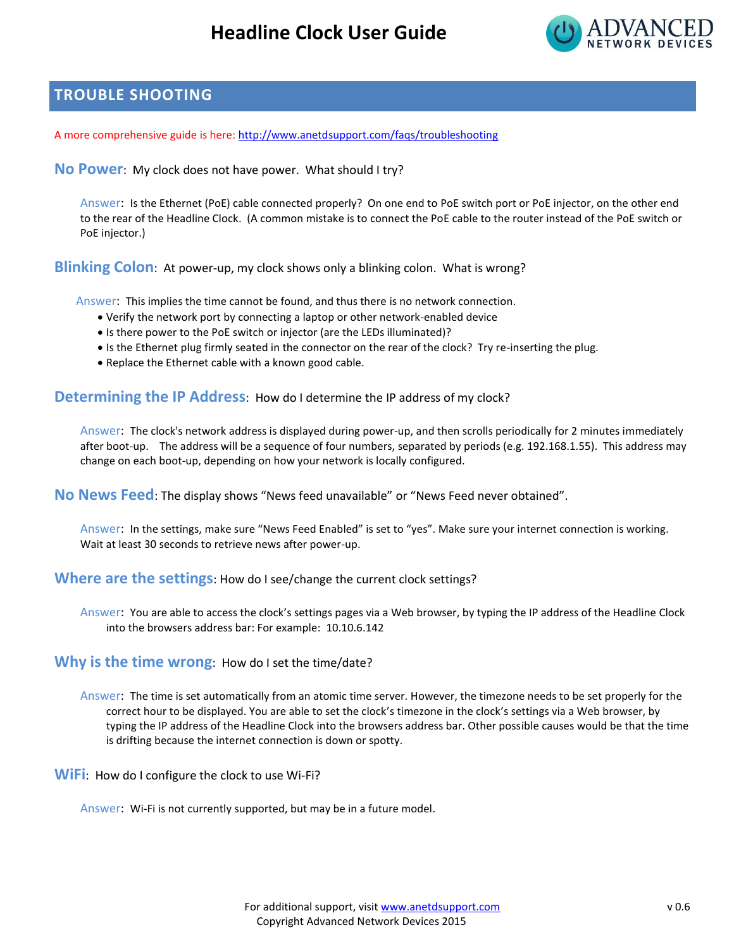

#### **TROUBLE SHOOTING**

A more comprehensive guide is here:<http://www.anetdsupport.com/faqs/troubleshooting>

**No Power**: My clock does not have power. What should I try?

Answer: Is the Ethernet (PoE) cable connected properly? On one end to PoE switch port or PoE injector, on the other end to the rear of the Headline Clock. (A common mistake is to connect the PoE cable to the router instead of the PoE switch or PoE injector.)

**Blinking Colon**: At power-up, my clock shows only a blinking colon. What is wrong?

Answer: This implies the time cannot be found, and thus there is no network connection.

- Verify the network port by connecting a laptop or other network-enabled device
- Is there power to the PoE switch or injector (are the LEDs illuminated)?
- Is the Ethernet plug firmly seated in the connector on the rear of the clock? Try re-inserting the plug.
- Replace the Ethernet cable with a known good cable.

**Determining the IP Address**: How do I determine the IP address of my clock?

Answer: The clock's network address is displayed during power-up, and then scrolls periodically for 2 minutes immediately after boot-up. The address will be a sequence of four numbers, separated by periods (e.g. 192.168.1.55). This address may change on each boot-up, depending on how your network is locally configured.

**No News Feed**: The display shows "News feed unavailable" or "News Feed never obtained".

Answer: In the settings, make sure "News Feed Enabled" is set to "yes". Make sure your internet connection is working. Wait at least 30 seconds to retrieve news after power-up.

**Where are the settings**: How do I see/change the current clock settings?

Answer: You are able to access the clock's settings pages via a Web browser, by typing the IP address of the Headline Clock into the browsers address bar: For example: 10.10.6.142

**Why is the time wrong**: How do I set the time/date?

Answer: The time is set automatically from an atomic time server. However, the timezone needs to be set properly for the correct hour to be displayed. You are able to set the clock's timezone in the clock's settings via a Web browser, by typing the IP address of the Headline Clock into the browsers address bar. Other possible causes would be that the time is drifting because the internet connection is down or spotty.

**WiFi**: How do I configure the clock to use Wi-Fi?

Answer: Wi-Fi is not currently supported, but may be in a future model.